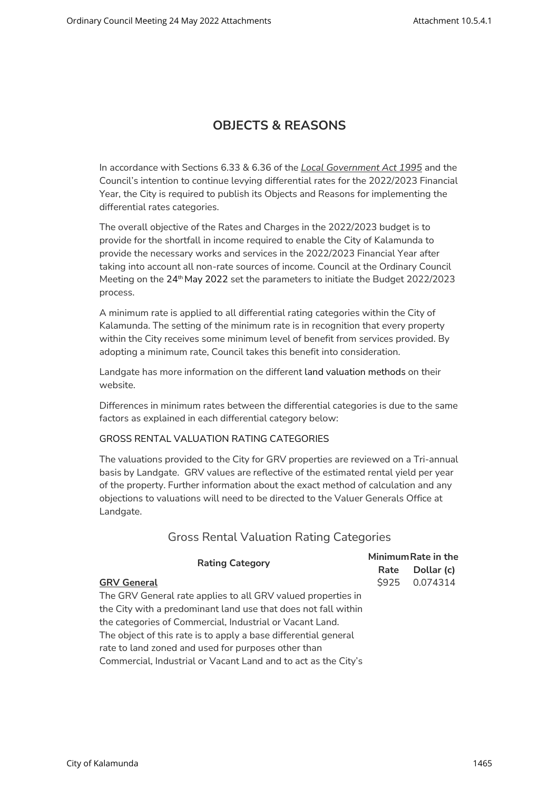# OBJECTS & REASONS

In accordance with Sections 6.33 & 6.36 of the Local Government Act 1995 and the Council's intention to continue levying differential rates for the 2022/2023 Financial Year, the City is required to publish its Objects and Reasons for implementing the differential rates categories.

The overall objective of the Rates and Charges in the 2022/2023 budget is to provide for the shortfall in income required to enable the City of Kalamunda to provide the necessary works and services in the 2022/2023 Financial Year after taking into account all non-rate sources of income. Council at the Ordinary Council Meeting on the 24<sup>th</sup> May 2022 set the parameters to initiate the Budget 2022/2023 process.

A minimum rate is applied to all differential rating categories within the City of Kalamunda. The setting of the minimum rate is in recognition that every property within the City receives some minimum level of benefit from services provided. By adopting a minimum rate, Council takes this benefit into consideration.

Landgate has more information on the different land valuation methods on their website.

Differences in minimum rates between the differential categories is due to the same factors as explained in each differential category below:

#### GROSS RENTAL VALUATION RATING CATEGORIES

The valuations provided to the City for GRV properties are reviewed on a Tri-annual basis by Landgate. GRV values are reflective of the estimated rental yield per year of the property. Further information about the exact method of calculation and any objections to valuations will need to be directed to the Valuer Generals Office at Landgate.

## Gross Rental Valuation Rating Categories

| <b>Rating Category</b>                                          | Minimum Rate in the |            |
|-----------------------------------------------------------------|---------------------|------------|
|                                                                 | Rate                | Dollar (c) |
| <b>GRV General</b>                                              | <b>\$925</b>        | 0.074314   |
| The GRV General rate applies to all GRV valued properties in    |                     |            |
| the City with a predominant land use that does not fall within  |                     |            |
| the categories of Commercial, Industrial or Vacant Land.        |                     |            |
| The object of this rate is to apply a base differential general |                     |            |
| rate to land zoned and used for purposes other than             |                     |            |
| Commercial, Industrial or Vacant Land and to act as the City's  |                     |            |
|                                                                 |                     |            |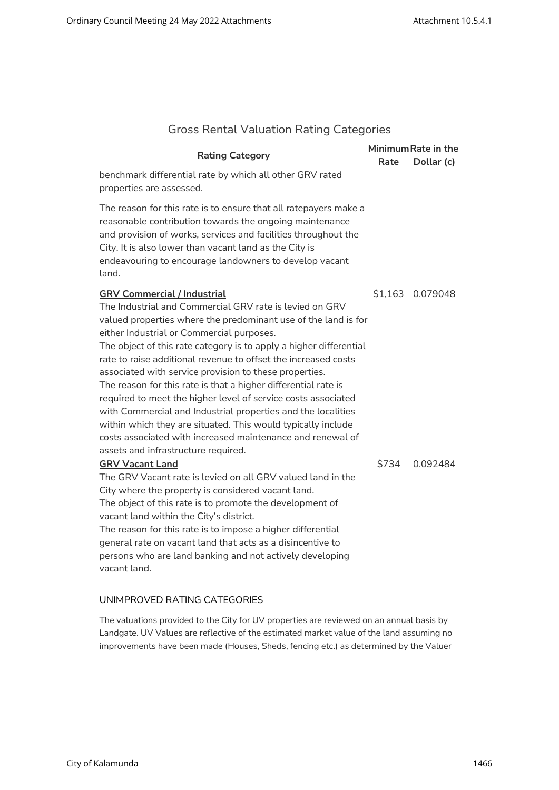| <b>Gross Rental Valuation Rating Categories</b> |  |  |  |
|-------------------------------------------------|--|--|--|
|-------------------------------------------------|--|--|--|

| <b>Rating Category</b>                                                                                                                                                                                                                                                                                                                                                                                                                                                                                                                                                                                                                                                                                                                                                                 |       | Minimum Rate in the |
|----------------------------------------------------------------------------------------------------------------------------------------------------------------------------------------------------------------------------------------------------------------------------------------------------------------------------------------------------------------------------------------------------------------------------------------------------------------------------------------------------------------------------------------------------------------------------------------------------------------------------------------------------------------------------------------------------------------------------------------------------------------------------------------|-------|---------------------|
| benchmark differential rate by which all other GRV rated<br>properties are assessed.                                                                                                                                                                                                                                                                                                                                                                                                                                                                                                                                                                                                                                                                                                   | Rate  | Dollar (c)          |
| The reason for this rate is to ensure that all ratepayers make a<br>reasonable contribution towards the ongoing maintenance<br>and provision of works, services and facilities throughout the<br>City. It is also lower than vacant land as the City is<br>endeavouring to encourage landowners to develop vacant<br>land.                                                                                                                                                                                                                                                                                                                                                                                                                                                             |       |                     |
| <b>GRV Commercial / Industrial</b><br>The Industrial and Commercial GRV rate is levied on GRV<br>valued properties where the predominant use of the land is for<br>either Industrial or Commercial purposes.<br>The object of this rate category is to apply a higher differential<br>rate to raise additional revenue to offset the increased costs<br>associated with service provision to these properties.<br>The reason for this rate is that a higher differential rate is<br>required to meet the higher level of service costs associated<br>with Commercial and Industrial properties and the localities<br>within which they are situated. This would typically include<br>costs associated with increased maintenance and renewal of<br>assets and infrastructure required. |       | \$1,163 0.079048    |
| <b>GRV Vacant Land</b><br>The GRV Vacant rate is levied on all GRV valued land in the<br>City where the property is considered vacant land.<br>The object of this rate is to promote the development of<br>vacant land within the City's district.<br>The reason for this rate is to impose a higher differential<br>general rate on vacant land that acts as a disincentive to<br>persons who are land banking and not actively developing<br>vacant land.                                                                                                                                                                                                                                                                                                                            | \$734 | 0.092484            |

### UNIMPROVED RATING CATEGORIES

The valuations provided to the City for UV properties are reviewed on an annual basis by Landgate. UV Values are reflective of the estimated market value of the land assuming no improvements have been made (Houses, Sheds, fencing etc.) as determined by the Valuer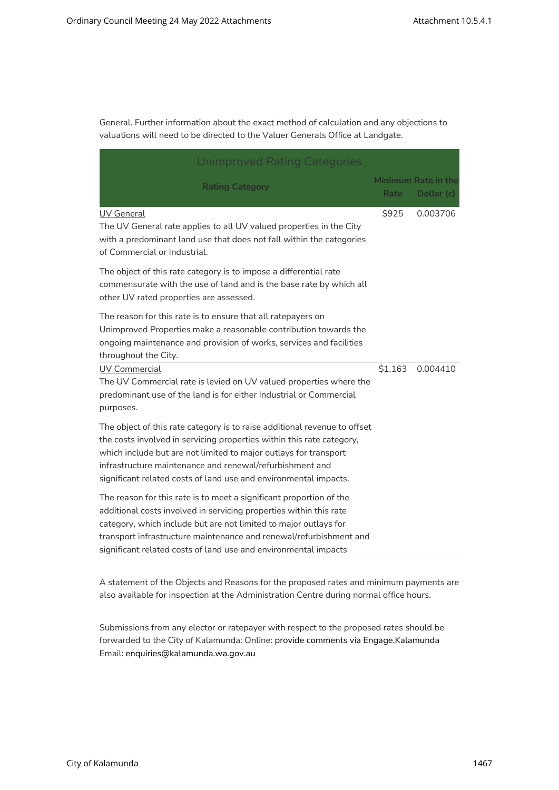General. Further information about the exact method of calculation and any objections to valuations will need to be directed to the Valuer Generals Office at Landgate.

| Unimproved Rating Categories                                                                                                                                                                                                                                                                                                                           |         |                                          |  |  |  |
|--------------------------------------------------------------------------------------------------------------------------------------------------------------------------------------------------------------------------------------------------------------------------------------------------------------------------------------------------------|---------|------------------------------------------|--|--|--|
| <b>Rating Category</b>                                                                                                                                                                                                                                                                                                                                 | Rate    | <b>Minimum Rate in the</b><br>Dollar (c) |  |  |  |
| UV General<br>The UV General rate applies to all UV valued properties in the City<br>with a predominant land use that does not fall within the categories<br>of Commercial or Industrial.                                                                                                                                                              | \$925   | 0.003706                                 |  |  |  |
| The object of this rate category is to impose a differential rate<br>commensurate with the use of land and is the base rate by which all<br>other UV rated properties are assessed.                                                                                                                                                                    |         |                                          |  |  |  |
| The reason for this rate is to ensure that all ratepayers on<br>Unimproved Properties make a reasonable contribution towards the<br>ongoing maintenance and provision of works, services and facilities<br>throughout the City.                                                                                                                        |         |                                          |  |  |  |
| <b>UV Commercial</b><br>The UV Commercial rate is levied on UV valued properties where the<br>predominant use of the land is for either Industrial or Commercial<br>purposes.                                                                                                                                                                          | \$1,163 | 0.004410                                 |  |  |  |
| The object of this rate category is to raise additional revenue to offset<br>the costs involved in servicing properties within this rate category,<br>which include but are not limited to major outlays for transport<br>infrastructure maintenance and renewal/refurbishment and<br>significant related costs of land use and environmental impacts. |         |                                          |  |  |  |
| The reason for this rate is to meet a significant proportion of the<br>additional costs involved in servicing properties within this rate<br>category, which include but are not limited to major outlays for<br>transport infrastructure maintenance and renewal/refurbishment and<br>significant related costs of land use and environmental impacts |         |                                          |  |  |  |

A statement of the Objects and Reasons for the proposed rates and minimum payments are also available for inspection at the Administration Centre during normal office hours.

Submissions from any elector or ratepayer with respect to the proposed rates should be forwarded to the City of Kalamunda: Online: provide comments via Engage.Kalamunda Email: enquiries@kalamunda.wa.gov.au